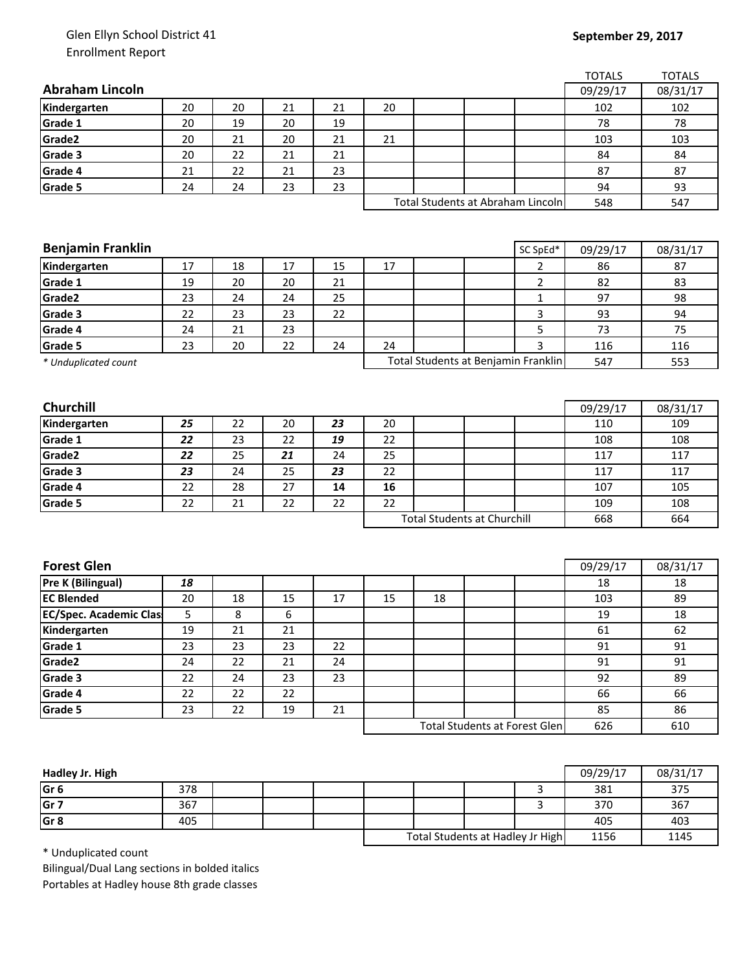## Glen Ellyn School District 41 Enrollment Report

## **September 29, 2017**

|                               |    |    |    |    |                                    |    |                                      |                | <b>TOTALS</b>   | <b>TOTALS</b>   |
|-------------------------------|----|----|----|----|------------------------------------|----|--------------------------------------|----------------|-----------------|-----------------|
| <b>Abraham Lincoln</b>        |    |    |    |    |                                    |    |                                      |                | 09/29/17        | 08/31/17        |
| Kindergarten                  | 20 | 20 | 21 | 21 | 20                                 |    |                                      |                | 102             | 102             |
| Grade 1                       | 20 | 19 | 20 | 19 |                                    |    |                                      |                | 78              | 78              |
| Grade2                        | 20 | 21 | 20 | 21 | 21                                 |    |                                      |                | 103             | 103             |
| Grade 3                       | 20 | 22 | 21 | 21 |                                    |    |                                      |                | 84              | 84              |
| Grade 4                       | 21 | 22 | 21 | 23 |                                    |    |                                      |                | 87              | 87              |
| Grade 5                       | 24 | 24 | 23 | 23 |                                    |    |                                      |                | 94              | 93              |
|                               |    |    |    |    | Total Students at Abraham Lincoln  |    |                                      |                | 548             | 547             |
|                               |    |    |    |    |                                    |    |                                      |                |                 |                 |
|                               |    |    |    |    |                                    |    |                                      |                |                 |                 |
| <b>Benjamin Franklin</b>      |    |    |    |    |                                    |    |                                      | SC SpEd*       | 09/29/17        | 08/31/17        |
| Kindergarten                  | 17 | 18 | 17 | 15 | 17                                 |    |                                      | $\overline{2}$ | 86              | 87              |
| Grade 1                       | 19 | 20 | 20 | 21 |                                    |    |                                      | $\overline{2}$ | 82              | 83              |
| Grade2                        | 23 | 24 | 24 | 25 |                                    |    |                                      | $\mathbf{1}$   | 97              | 98              |
| Grade 3                       | 22 | 23 | 23 | 22 |                                    |    |                                      | 3              | 93              | 94              |
| Grade 4                       | 24 | 21 | 23 |    |                                    |    |                                      | 5              | 73              | 75              |
| Grade 5                       | 23 | 20 | 22 | 24 | 24                                 |    |                                      | 3              | 116             | 116             |
| * Unduplicated count          |    |    |    |    |                                    |    | Total Students at Benjamin Franklin  |                | 547             | 553             |
|                               |    |    |    |    |                                    |    |                                      |                |                 |                 |
| Churchill                     |    |    |    |    |                                    |    |                                      |                |                 |                 |
| Kindergarten                  | 25 | 22 | 20 | 23 | 20                                 |    |                                      |                | 09/29/17<br>110 | 08/31/17<br>109 |
| Grade 1                       | 22 | 23 | 22 | 19 | 22                                 |    |                                      |                | 108             | 108             |
| Grade <sub>2</sub>            | 22 | 25 | 21 | 24 | 25                                 |    |                                      |                | 117             | 117             |
| Grade 3                       | 23 | 24 | 25 | 23 | 22                                 |    |                                      |                | 117             | 117             |
| Grade 4                       | 22 | 28 | 27 | 14 | 16                                 |    |                                      |                | 107             | 105             |
| Grade 5                       | 22 | 21 | 22 | 22 | 22                                 |    |                                      |                | 109             | 108             |
|                               |    |    |    |    | <b>Total Students at Churchill</b> |    | 668                                  | 664            |                 |                 |
|                               |    |    |    |    |                                    |    |                                      |                |                 |                 |
|                               |    |    |    |    |                                    |    |                                      |                |                 |                 |
| <b>Forest Glen</b>            |    |    |    |    |                                    |    |                                      |                | 09/29/17        | 08/31/17        |
| Pre K (Bilingual)             | 18 |    |    |    |                                    |    |                                      |                | 18              | 18              |
| <b>EC Blended</b>             | 20 | 18 | 15 | 17 | 15                                 | 18 |                                      |                | 103             | 89              |
| <b>EC/Spec. Academic Clas</b> | 5  | 8  | 6  |    |                                    |    |                                      |                | 19              | 18              |
| Kindergarten                  | 19 | 21 | 21 |    |                                    |    |                                      |                | 61              | 62              |
| Grade 1                       | 23 | 23 | 23 | 22 |                                    |    |                                      |                | 91              | 91              |
| Grade2                        | 24 | 22 | 21 | 24 |                                    |    |                                      |                | 91              | 91              |
| Grade 3                       | 22 | 24 | 23 | 23 |                                    |    |                                      |                | 92              | 89              |
| Grade 4                       | 22 | 22 | 22 |    |                                    |    |                                      |                | 66              | 66              |
| Grade 5                       | 23 | 22 | 19 | 21 |                                    |    |                                      |                | 85              | 86              |
|                               |    |    |    |    |                                    |    | <b>Total Students at Forest Glen</b> |                | 626             | 610             |
|                               |    |    |    |    |                                    |    |                                      |                |                 |                 |

| Hadley Jr. High |     |  |                                  |  |      | 09/29/17 | 08/31/17 |
|-----------------|-----|--|----------------------------------|--|------|----------|----------|
| Gr <sub>6</sub> | 378 |  |                                  |  |      | 381      | 375      |
| Gr <sub>7</sub> | 367 |  |                                  |  |      | 370      | 367      |
| Gr <sub>8</sub> | 405 |  |                                  |  |      | 405      | 403      |
|                 |     |  | Total Students at Hadley Jr High |  | 1156 | 1145     |          |

\* Unduplicated count

Bilingual/Dual Lang sections in bolded italics Portables at Hadley house 8th grade classes